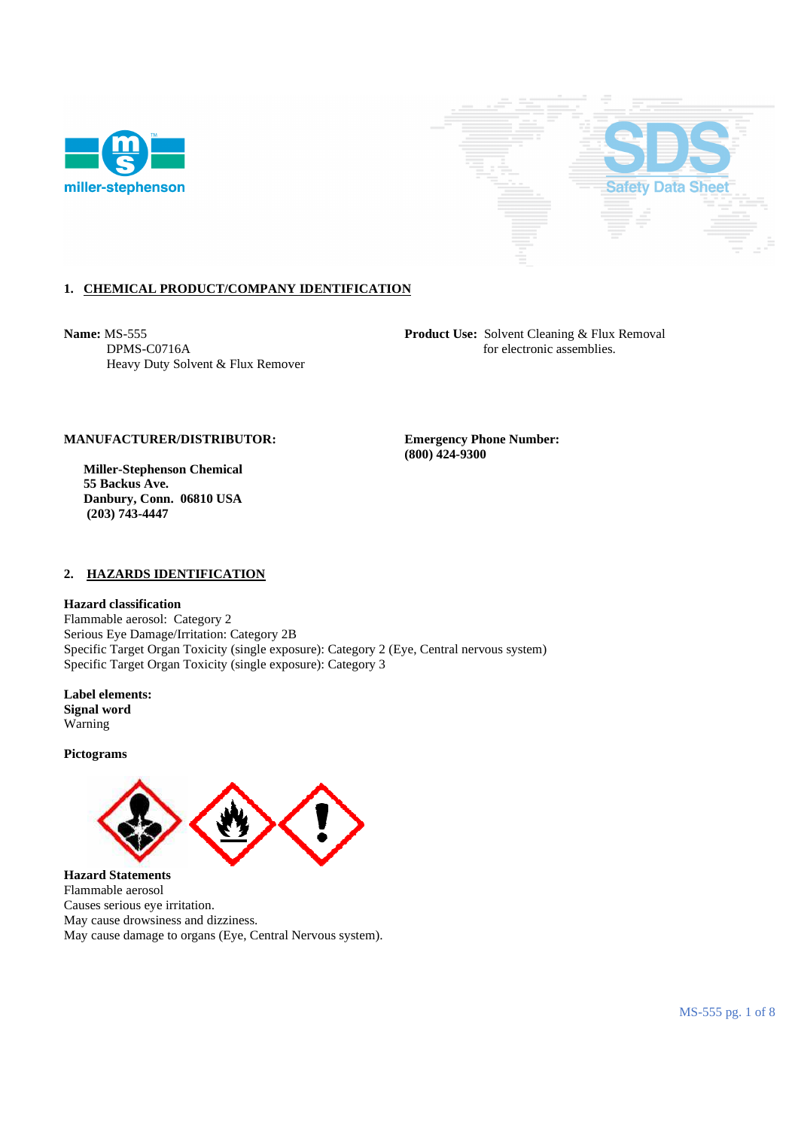



# **1. CHEMICAL PRODUCT/COMPANY IDENTIFICATION**

Heavy Duty Solvent & Flux Remover

**Name:** MS-555 **Product Use:** Solvent Cleaning & Flux Removal **DPMS-C0716A product Use:** Solvent Cleaning & Flux Removal **product** Use: Solvent Cleaning & Flux Removal for electronic assemblies.

# **MANUFACTURER/DISTRIBUTOR: Emergency Phone Number:**

 **Miller-Stephenson Chemical 55 Backus Ave. Danbury, Conn. 06810 USA (203) 743-4447** 

 **(800) 424-9300** 

## **2. HAZARDS IDENTIFICATION**

**Hazard classification** 

Flammable aerosol: Category 2 Serious Eye Damage/Irritation: Category 2B Specific Target Organ Toxicity (single exposure): Category 2 (Eye, Central nervous system) Specific Target Organ Toxicity (single exposure): Category 3

**Label elements: Signal word**  Warning

**Pictograms** 



**Hazard Statements**  Flammable aerosol Causes serious eye irritation. May cause drowsiness and dizziness. May cause damage to organs (Eye, Central Nervous system).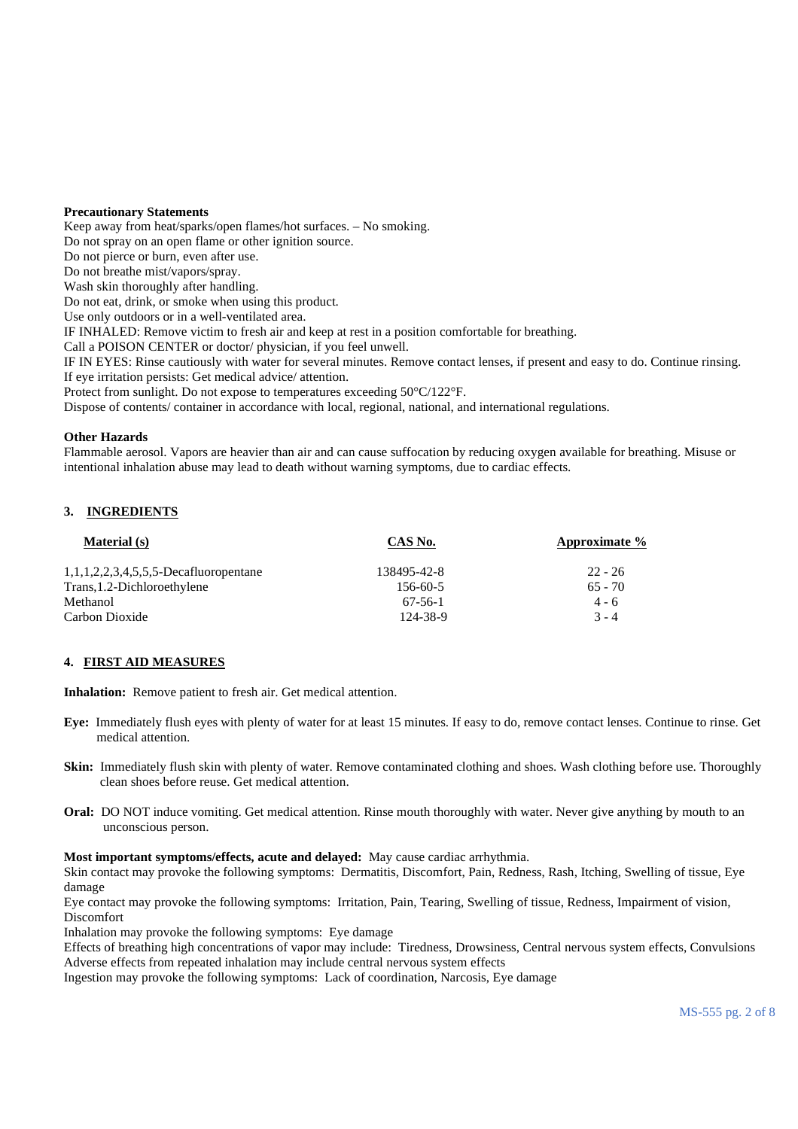### **Precautionary Statements**

Keep away from heat/sparks/open flames/hot surfaces. – No smoking.

Do not spray on an open flame or other ignition source.

Do not pierce or burn, even after use.

Do not breathe mist/vapors/spray.

Wash skin thoroughly after handling.

Do not eat, drink, or smoke when using this product.

Use only outdoors or in a well-ventilated area.

IF INHALED: Remove victim to fresh air and keep at rest in a position comfortable for breathing.

Call a POISON CENTER or doctor/ physician, if you feel unwell.

IF IN EYES: Rinse cautiously with water for several minutes. Remove contact lenses, if present and easy to do. Continue rinsing. If eye irritation persists: Get medical advice/ attention.

Protect from sunlight. Do not expose to temperatures exceeding 50°C/122°F.

Dispose of contents/ container in accordance with local, regional, national, and international regulations.

### **Other Hazards**

Flammable aerosol. Vapors are heavier than air and can cause suffocation by reducing oxygen available for breathing. Misuse or intentional inhalation abuse may lead to death without warning symptoms, due to cardiac effects.

### **3. INGREDIENTS**

| <b>Material</b> (s)                      | CAS No.        | Approximate % |
|------------------------------------------|----------------|---------------|
| $1,1,1,2,2,3,4,5,5,5$ -Decafluoropentane | 138495-42-8    | $22 - 26$     |
| Trans, 1.2-Dichloroethylene              | $156 - 60 - 5$ | $65 - 70$     |
| Methanol                                 | 67-56-1        | $4 - 6$       |
| Carbon Dioxide                           | 124-38-9       | $3 - 4$       |

#### **4. FIRST AID MEASURES**

**Inhalation:** Remove patient to fresh air. Get medical attention.

- **Eye:** Immediately flush eyes with plenty of water for at least 15 minutes. If easy to do, remove contact lenses. Continue to rinse. Get medical attention.
- **Skin:** Immediately flush skin with plenty of water. Remove contaminated clothing and shoes. Wash clothing before use. Thoroughly clean shoes before reuse. Get medical attention.
- **Oral:** DO NOT induce vomiting. Get medical attention. Rinse mouth thoroughly with water. Never give anything by mouth to an unconscious person.

#### **Most important symptoms/effects, acute and delayed:** May cause cardiac arrhythmia.

Skin contact may provoke the following symptoms: Dermatitis, Discomfort, Pain, Redness, Rash, Itching, Swelling of tissue, Eye damage

Eye contact may provoke the following symptoms: Irritation, Pain, Tearing, Swelling of tissue, Redness, Impairment of vision, Discomfort

Inhalation may provoke the following symptoms: Eye damage

Effects of breathing high concentrations of vapor may include: Tiredness, Drowsiness, Central nervous system effects, Convulsions Adverse effects from repeated inhalation may include central nervous system effects

Ingestion may provoke the following symptoms: Lack of coordination, Narcosis, Eye damage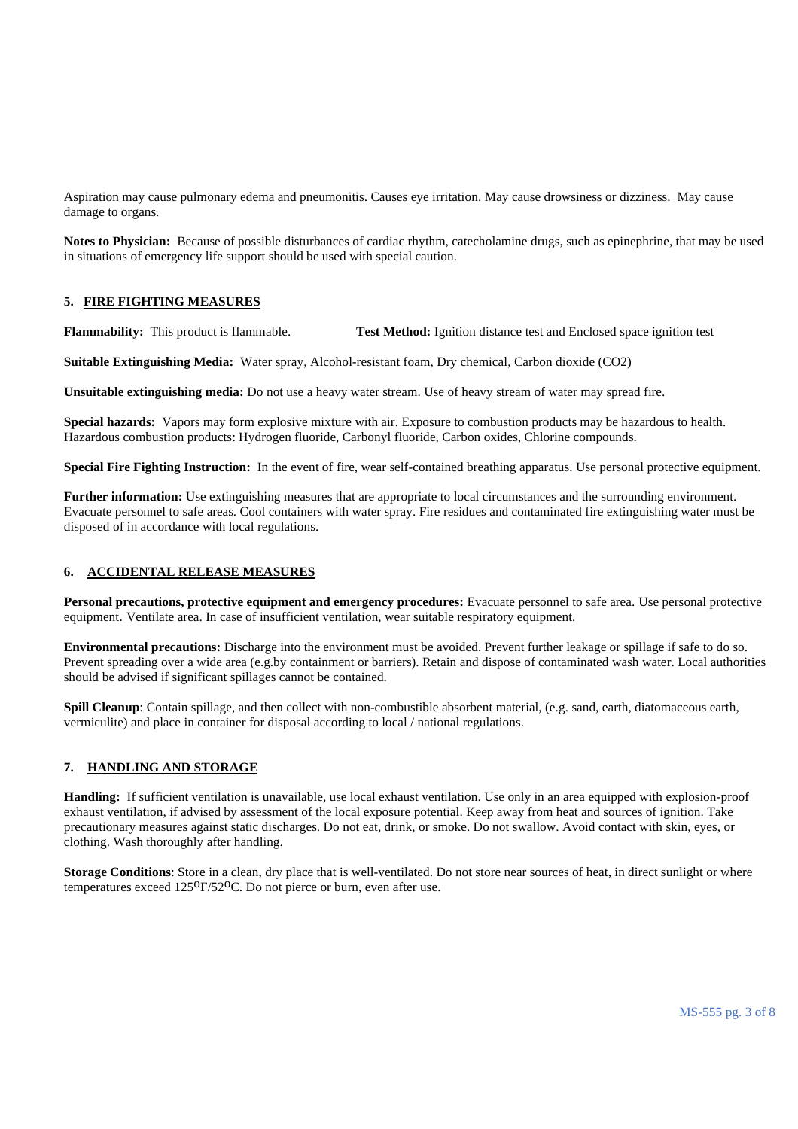Aspiration may cause pulmonary edema and pneumonitis. Causes eye irritation. May cause drowsiness or dizziness. May cause damage to organs.

**Notes to Physician:** Because of possible disturbances of cardiac rhythm, catecholamine drugs, such as epinephrine, that may be used in situations of emergency life support should be used with special caution.

### **5. FIRE FIGHTING MEASURES**

**Flammability:** This product is flammable. **Test Method:** Ignition distance test and Enclosed space ignition test

**Suitable Extinguishing Media:** Water spray, Alcohol-resistant foam, Dry chemical, Carbon dioxide (CO2)

**Unsuitable extinguishing media:** Do not use a heavy water stream. Use of heavy stream of water may spread fire.

**Special hazards:** Vapors may form explosive mixture with air. Exposure to combustion products may be hazardous to health. Hazardous combustion products: Hydrogen fluoride, Carbonyl fluoride, Carbon oxides, Chlorine compounds.

**Special Fire Fighting Instruction:** In the event of fire, wear self-contained breathing apparatus. Use personal protective equipment.

**Further information:** Use extinguishing measures that are appropriate to local circumstances and the surrounding environment. Evacuate personnel to safe areas. Cool containers with water spray. Fire residues and contaminated fire extinguishing water must be disposed of in accordance with local regulations.

#### **6. ACCIDENTAL RELEASE MEASURES**

**Personal precautions, protective equipment and emergency procedures:** Evacuate personnel to safe area. Use personal protective equipment. Ventilate area. In case of insufficient ventilation, wear suitable respiratory equipment.

**Environmental precautions:** Discharge into the environment must be avoided. Prevent further leakage or spillage if safe to do so. Prevent spreading over a wide area (e.g.by containment or barriers). Retain and dispose of contaminated wash water. Local authorities should be advised if significant spillages cannot be contained.

**Spill Cleanup**: Contain spillage, and then collect with non-combustible absorbent material, (e.g. sand, earth, diatomaceous earth, vermiculite) and place in container for disposal according to local / national regulations.

### **7. HANDLING AND STORAGE**

**Handling:** If sufficient ventilation is unavailable, use local exhaust ventilation. Use only in an area equipped with explosion-proof exhaust ventilation, if advised by assessment of the local exposure potential. Keep away from heat and sources of ignition. Take precautionary measures against static discharges. Do not eat, drink, or smoke. Do not swallow. Avoid contact with skin, eyes, or clothing. Wash thoroughly after handling.

**Storage Conditions**: Store in a clean, dry place that is well-ventilated. Do not store near sources of heat, in direct sunlight or where temperatures exceed 125<sup>o</sup>F/52<sup>o</sup>C. Do not pierce or burn, even after use.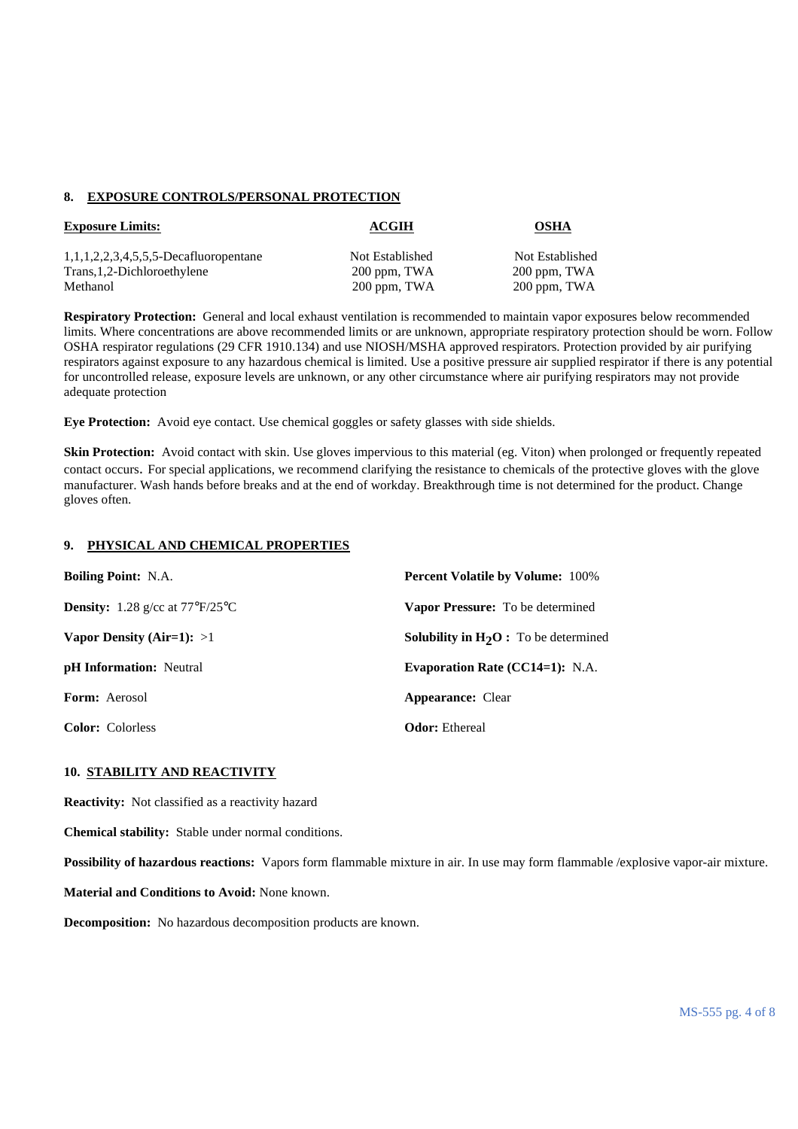#### **8. EXPOSURE CONTROLS/PERSONAL PROTECTION**

| <b>Exposure Limits:</b>                  | ACGIH           | <b>OSHA</b>     |
|------------------------------------------|-----------------|-----------------|
| $1,1,1,2,2,3,4,5,5,5$ -Decafluoropentane | Not Established | Not Established |
| Trans, 1, 2-Dichloroethylene             | 200 ppm, TWA    | 200 ppm, TWA    |
| Methanol                                 | 200 ppm, TWA    | 200 ppm, TWA    |

**Respiratory Protection:** General and local exhaust ventilation is recommended to maintain vapor exposures below recommended limits. Where concentrations are above recommended limits or are unknown, appropriate respiratory protection should be worn. Follow OSHA respirator regulations (29 CFR 1910.134) and use NIOSH/MSHA approved respirators. Protection provided by air purifying respirators against exposure to any hazardous chemical is limited. Use a positive pressure air supplied respirator if there is any potential for uncontrolled release, exposure levels are unknown, or any other circumstance where air purifying respirators may not provide adequate protection

**Eye Protection:** Avoid eye contact. Use chemical goggles or safety glasses with side shields.

**Skin Protection:** Avoid contact with skin. Use gloves impervious to this material (eg. Viton) when prolonged or frequently repeated contact occurs. For special applications, we recommend clarifying the resistance to chemicals of the protective gloves with the glove manufacturer. Wash hands before breaks and at the end of workday. Breakthrough time is not determined for the product. Change gloves often.

### **9. PHYSICAL AND CHEMICAL PROPERTIES**

| <b>Boiling Point: N.A.</b>                             | <b>Percent Volatile by Volume: 100%</b>                  |
|--------------------------------------------------------|----------------------------------------------------------|
| <b>Density:</b> 1.28 g/cc at $77^{\circ}F/25^{\circ}C$ | <b>Vapor Pressure:</b> To be determined                  |
| Vapor Density (Air=1): $>1$                            | <b>Solubility in <math>H_2O</math>:</b> To be determined |
| <b>pH</b> Information: Neutral                         | Evaporation Rate $(CC14=1)$ : N.A.                       |
| <b>Form:</b> Aerosol                                   | <b>Appearance:</b> Clear                                 |
| <b>Color:</b> Colorless                                | <b>Odor:</b> Ethereal                                    |

### **10. STABILITY AND REACTIVITY**

**Reactivity:** Not classified as a reactivity hazard

**Chemical stability:** Stable under normal conditions.

**Possibility of hazardous reactions:** Vapors form flammable mixture in air. In use may form flammable /explosive vapor-air mixture.

**Material and Conditions to Avoid:** None known.

**Decomposition:** No hazardous decomposition products are known.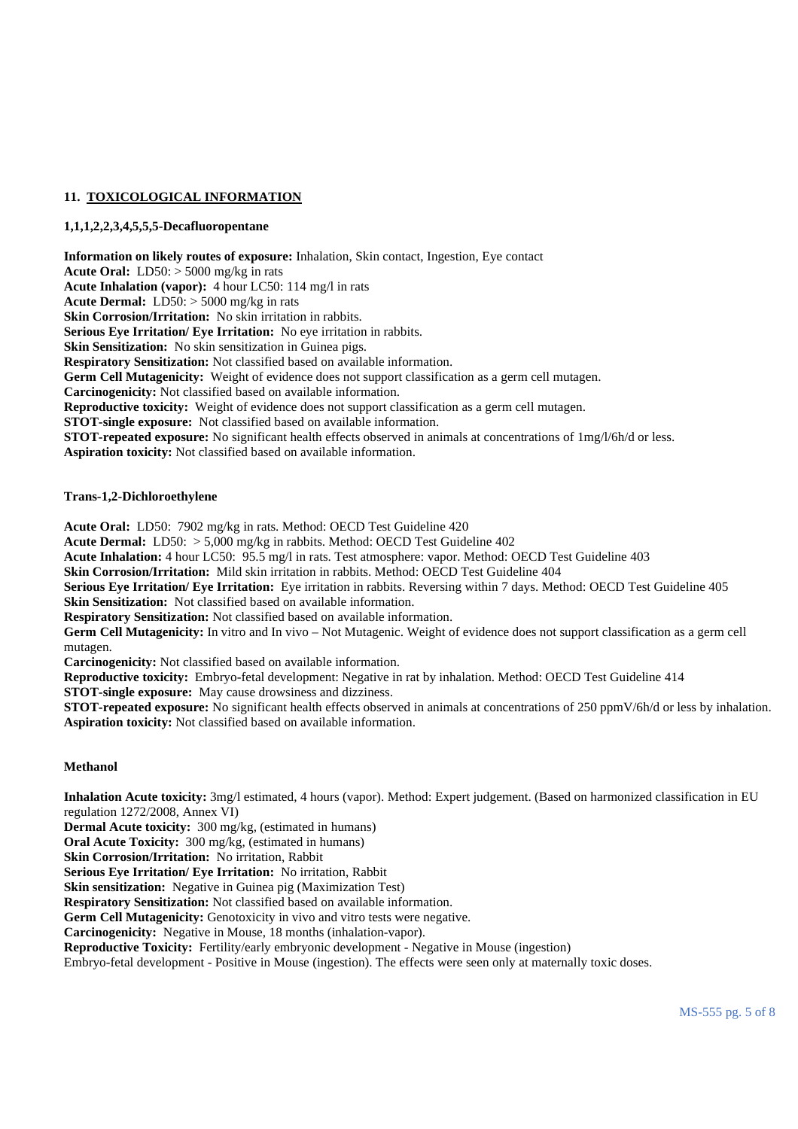# **11. TOXICOLOGICAL INFORMATION**

## **1,1,1,2,2,3,4,5,5,5-Decafluoropentane**

**Information on likely routes of exposure:** Inhalation, Skin contact, Ingestion, Eye contact **Acute Oral:** LD50: > 5000 mg/kg in rats **Acute Inhalation (vapor):** 4 hour LC50: 114 mg/l in rats **Acute Dermal:** LD50: > 5000 mg/kg in rats **Skin Corrosion/Irritation:** No skin irritation in rabbits. **Serious Eye Irritation/ Eye Irritation:** No eye irritation in rabbits. **Skin Sensitization:** No skin sensitization in Guinea pigs. **Respiratory Sensitization:** Not classified based on available information. **Germ Cell Mutagenicity:** Weight of evidence does not support classification as a germ cell mutagen. **Carcinogenicity:** Not classified based on available information. **Reproductive toxicity:** Weight of evidence does not support classification as a germ cell mutagen. **STOT-single exposure:** Not classified based on available information. **STOT-repeated exposure:** No significant health effects observed in animals at concentrations of 1mg/l/6h/d or less. **Aspiration toxicity:** Not classified based on available information.

### **Trans-1,2-Dichloroethylene**

**Acute Oral:** LD50: 7902 mg/kg in rats. Method: OECD Test Guideline 420

**Acute Dermal:** LD50: > 5,000 mg/kg in rabbits. Method: OECD Test Guideline 402

**Acute Inhalation:** 4 hour LC50: 95.5 mg/l in rats. Test atmosphere: vapor. Method: OECD Test Guideline 403

**Skin Corrosion/Irritation:** Mild skin irritation in rabbits. Method: OECD Test Guideline 404

**Serious Eye Irritation/ Eye Irritation:** Eye irritation in rabbits. Reversing within 7 days. Method: OECD Test Guideline 405 **Skin Sensitization:** Not classified based on available information.

**Respiratory Sensitization:** Not classified based on available information.

**Germ Cell Mutagenicity:** In vitro and In vivo – Not Mutagenic. Weight of evidence does not support classification as a germ cell mutagen.

**Carcinogenicity:** Not classified based on available information.

**Reproductive toxicity:** Embryo-fetal development: Negative in rat by inhalation. Method: OECD Test Guideline 414

**STOT-single exposure:** May cause drowsiness and dizziness.

**STOT-repeated exposure:** No significant health effects observed in animals at concentrations of 250 ppmV/6h/d or less by inhalation. **Aspiration toxicity:** Not classified based on available information.

### **Methanol**

**Inhalation Acute toxicity:** 3mg/l estimated, 4 hours (vapor). Method: Expert judgement. (Based on harmonized classification in EU regulation 1272/2008, Annex VI)

**Dermal Acute toxicity:** 300 mg/kg, (estimated in humans)

**Oral Acute Toxicity:** 300 mg/kg, (estimated in humans)

**Skin Corrosion/Irritation:** No irritation, Rabbit

**Serious Eye Irritation/ Eye Irritation:** No irritation, Rabbit

**Skin sensitization:** Negative in Guinea pig (Maximization Test)

**Respiratory Sensitization:** Not classified based on available information.

Germ Cell Mutagenicity: Genotoxicity in vivo and vitro tests were negative.

**Carcinogenicity:** Negative in Mouse, 18 months (inhalation-vapor).

**Reproductive Toxicity:** Fertility/early embryonic development - Negative in Mouse (ingestion)

Embryo-fetal development - Positive in Mouse (ingestion). The effects were seen only at maternally toxic doses.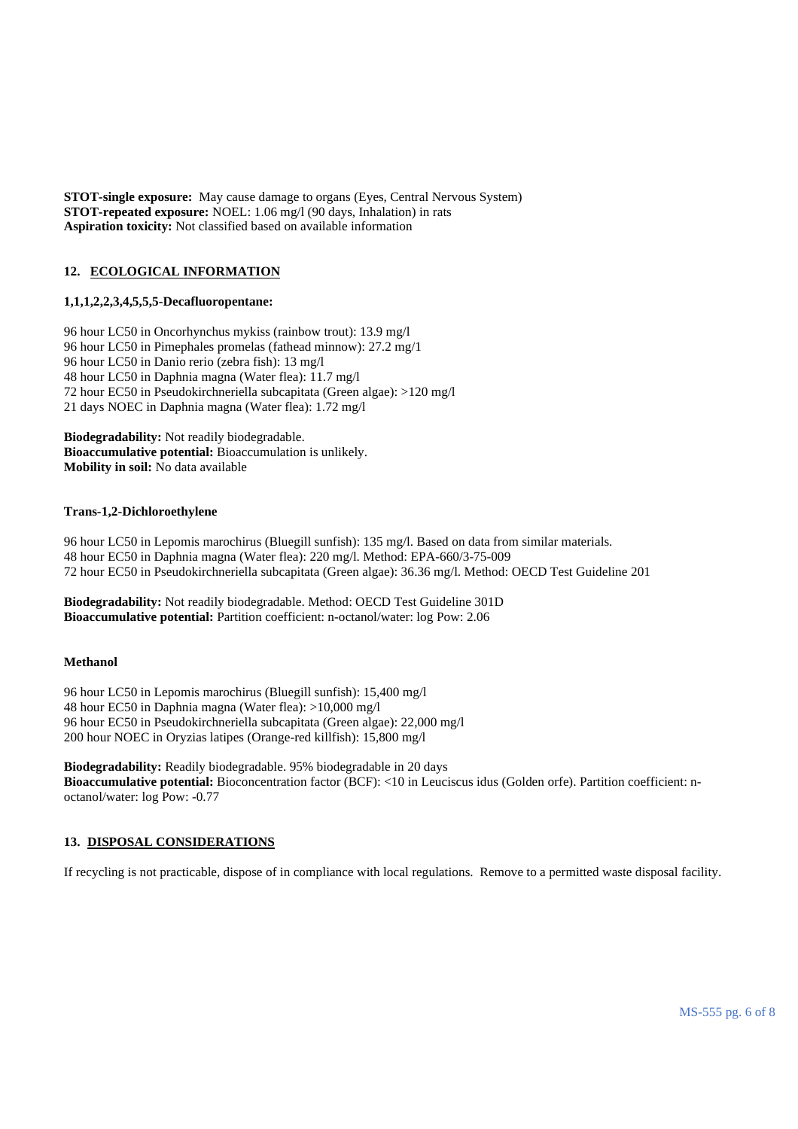**STOT-single exposure:** May cause damage to organs (Eyes, Central Nervous System) **STOT-repeated exposure:** NOEL: 1.06 mg/l (90 days, Inhalation) in rats **Aspiration toxicity:** Not classified based on available information

# **12. ECOLOGICAL INFORMATION**

#### **1,1,1,2,2,3,4,5,5,5-Decafluoropentane:**

96 hour LC50 in Oncorhynchus mykiss (rainbow trout): 13.9 mg/l 96 hour LC50 in Pimephales promelas (fathead minnow): 27.2 mg/1 96 hour LC50 in Danio rerio (zebra fish): 13 mg/l 48 hour LC50 in Daphnia magna (Water flea): 11.7 mg/l 72 hour EC50 in Pseudokirchneriella subcapitata (Green algae): >120 mg/l 21 days NOEC in Daphnia magna (Water flea): 1.72 mg/l

**Biodegradability:** Not readily biodegradable. **Bioaccumulative potential:** Bioaccumulation is unlikely. **Mobility in soil:** No data available

#### **Trans-1,2-Dichloroethylene**

96 hour LC50 in Lepomis marochirus (Bluegill sunfish): 135 mg/l. Based on data from similar materials. 48 hour EC50 in Daphnia magna (Water flea): 220 mg/l. Method: EPA-660/3-75-009 72 hour EC50 in Pseudokirchneriella subcapitata (Green algae): 36.36 mg/l. Method: OECD Test Guideline 201

**Biodegradability:** Not readily biodegradable. Method: OECD Test Guideline 301D **Bioaccumulative potential:** Partition coefficient: n-octanol/water: log Pow: 2.06

#### **Methanol**

96 hour LC50 in Lepomis marochirus (Bluegill sunfish): 15,400 mg/l 48 hour EC50 in Daphnia magna (Water flea): >10,000 mg/l 96 hour EC50 in Pseudokirchneriella subcapitata (Green algae): 22,000 mg/l 200 hour NOEC in Oryzias latipes (Orange-red killfish): 15,800 mg/l

**Biodegradability:** Readily biodegradable. 95% biodegradable in 20 days **Bioaccumulative potential:** Bioconcentration factor (BCF): <10 in Leuciscus idus (Golden orfe). Partition coefficient: noctanol/water: log Pow: -0.77

### **13. DISPOSAL CONSIDERATIONS**

If recycling is not practicable, dispose of in compliance with local regulations. Remove to a permitted waste disposal facility.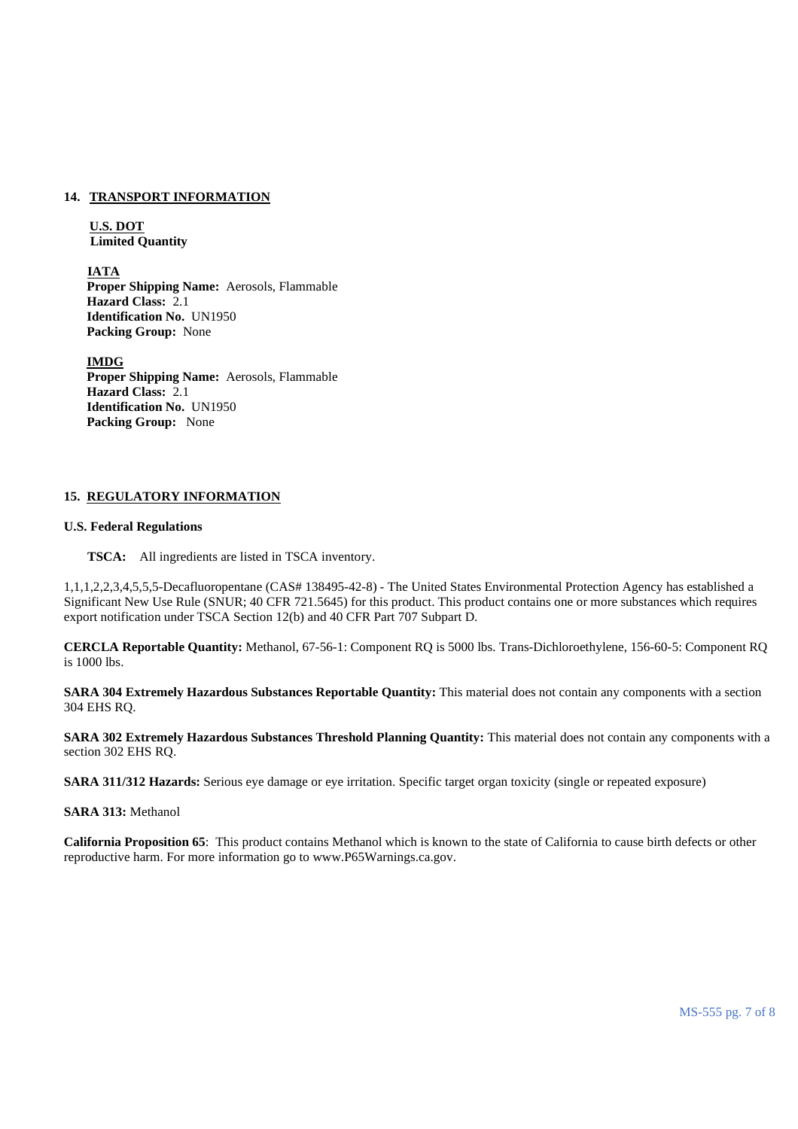# **14. TRANSPORT INFORMATION**

## **U.S. DOT Limited Quantity**

 **IATA Proper Shipping Name:** Aerosols, Flammable **Hazard Class:** 2.1 **Identification No.** UN1950 **Packing Group:** None

 **IMDG Proper Shipping Name:** Aerosols, Flammable **Hazard Class:** 2.1 **Identification No.** UN1950 **Packing Group:** None

## **15. REGULATORY INFORMATION**

#### **U.S. Federal Regulations**

**TSCA:** All ingredients are listed in TSCA inventory.

1,1,1,2,2,3,4,5,5,5-Decafluoropentane (CAS# 138495-42-8) - The United States Environmental Protection Agency has established a Significant New Use Rule (SNUR; 40 CFR 721.5645) for this product. This product contains one or more substances which requires export notification under TSCA Section 12(b) and 40 CFR Part 707 Subpart D.

**CERCLA Reportable Quantity:** Methanol, 67-56-1: Component RQ is 5000 lbs. Trans-Dichloroethylene, 156-60-5: Component RQ is 1000 lbs.

**SARA 304 Extremely Hazardous Substances Reportable Quantity:** This material does not contain any components with a section 304 EHS RQ.

**SARA 302 Extremely Hazardous Substances Threshold Planning Quantity:** This material does not contain any components with a section 302 EHS RQ.

**SARA 311/312 Hazards:** Serious eye damage or eye irritation. Specific target organ toxicity (single or repeated exposure)

**SARA 313:** Methanol

**California Proposition 65**: This product contains Methanol which is known to the state of California to cause birth defects or other reproductive harm. For more information go to www.P65Warnings.ca.gov.